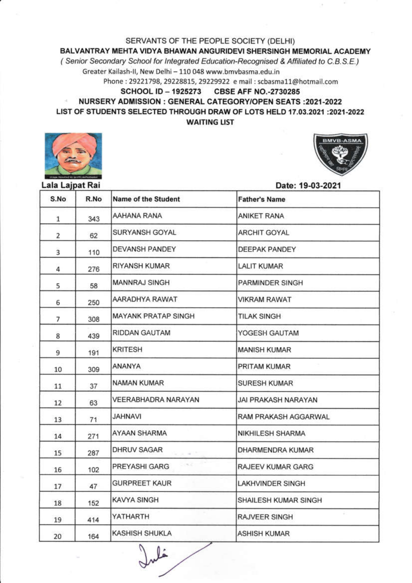SERVANTS OF THE PEOPLE SOCIETY (DELHI)

## BALVANTRAY MEHTA VIDYA BHAWAN ANGURIDEVI SHERSINGH MEMORIAL ACADEMY

(Senior Secondary School for Integrated Education-Recognised & Affiliated to C.B.S.E.)

Greater Kailash-II, New Delhi - 110 048 www.bmvbasma.edu.in

Phone: 29221798, 29228815, 29229922 e mail: scbasma11@hotmail.com

## **SCHOOL ID - 1925273 CBSE AFF NO.-2730285**

## **NURSERY ADMISSION : GENERAL CATEGORY/OPEN SEATS :2021-2022** LIST OF STUDENTS SELECTED THROUGH DRAW OF LOTS HELD 17.03.2021 :2021-2022 **WAITING LIST**



| Lala Lajpat Rai |      |                            | Date: 19-03-2021     |  |
|-----------------|------|----------------------------|----------------------|--|
| S.No            | R.No | <b>Name of the Student</b> | <b>Father's Name</b> |  |
| 1               | 343  | AAHANA RANA                | ANIKET RANA          |  |
| $\overline{2}$  | 62   | SURYANSH GOYAL             | ARCHIT GOYAL         |  |
| 3               | 110  | DEVANSH PANDEY             | DEEPAK PANDEY        |  |
| 4               | 276  | RIYANSH KUMAR              | <b>LALIT KUMAR</b>   |  |
| 5               | 58   | <b>MANNRAJ SINGH</b>       | PARMINDER SINGH      |  |
| 6               | 250  | AARADHYA RAWAT             | VIKRAM RAWAT         |  |
| 7               | 308  | MAYANK PRATAP SINGH        | <b>TILAK SINGH</b>   |  |
| 8               | 439  | RIDDAN GAUTAM              | YOGESH GAUTAM        |  |
| 9               | 191  | <b>KRITESH</b>             | <b>MANISH KUMAR</b>  |  |
| 10              | 309  | ANANYA                     | PRITAM KUMAR         |  |
| 11              | 37   | NAMAN KUMAR                | <b>SURESH KUMAR</b>  |  |
| 12              | 63   | VEERABHADRA NARAYAN        | JAI PRAKASH NARAYAN  |  |
| 13              | 71   | <b>IVAUHAU</b>             | RAM PRAKASH AGGARWAL |  |
| 14              | 271  | AYAAN SHARMA               | NIKHILESH SHARMA     |  |
| 15              | 287  | <b>DHRUV SAGAR</b><br>$-$  | DHARMENDRA KUMAR     |  |
| 16              | 102  | 136<br>PREYASHI GARG       | RAJEEV KUMAR GARG    |  |
| 17              | 47   | <b>GURPREET KAUR</b>       | LAKHVINDER SINGH     |  |
| 18              | 152  | <b>KAVYA SINGH</b>         | SHAILESH KUMAR SINGH |  |
| 19              | 414  | YATHARTH                   | RAJVEER SINGH        |  |
| $20^{\circ}$    | 164  | <b>KASHISH SHUKLA</b>      | <b>ASHISH KUMAR</b>  |  |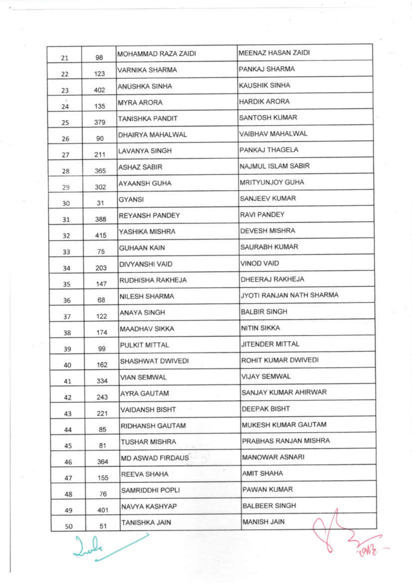| 21 | 98  | MOHAMMAD RAZA ZAIDI    | MEENAZ HASAN ZAIDI       |
|----|-----|------------------------|--------------------------|
| 22 | 123 | VARNIKA SHARMA         | PANKAJ SHARMA            |
| 23 | 402 | ANUSHKA SINHA          | KAUSHIK SINHA            |
| 24 | 135 | MYRA ARORA             | <b>HARDIK ARORA</b>      |
| 25 | 379 | <b>TANISHKA PANDIT</b> | SANTOSH KUMAR            |
| 26 | 90  | DHAIRYA MAHALWAL       | VAIBHAV MAHALWAL         |
| 27 | 211 | LAVANYA SINGH          | PANKAJ THAGELA           |
| 28 | 365 | <b>ASHAZ SABIR</b>     | NAJMUL ISLAM SABIR       |
| 29 | 302 | <b>AYAANSH GUHA</b>    | MRITYUNJOY GUHA          |
| 30 | 31  | GYANSI                 | SANJEEV KUMAR            |
| 31 | 388 | REYANSH PANDEY         | RAVI PANDEY              |
| 32 | 415 | YASHIKA MISHRA         | <b>DEVESH MISHRA</b>     |
| 33 | 75  | <b>GUHAAN KAIN</b>     | SAURABH KUMAR            |
| 34 | 203 | DIVYANSHI VAID         | <b>VINOD VAID</b>        |
| 35 | 147 | RUDHISHA RAKHEJA       | DHEERAJ RAKHEJA          |
| 36 | 68  | <b>NILESH SHARMA</b>   | JYOTI RANJAN NATH SHARMA |
| 37 | 122 | ANAYA SINGH            | <b>BALBIR SINGH</b>      |
| 38 | 174 | <b>MAADHAV SIKKA</b>   | NITIN SIKKA              |
| 39 | 99  | PULKIT MITTAL          | JITENDER MITTAL          |
| 40 | 162 | SHASHWAT DWIVEDI       | ROHIT KUMAR DWIVEDI      |
| 41 | 334 | <b>VIAN SEMWAL</b>     | <b>VIJAY SEMWAL</b>      |
| 42 | 243 | AYRA GAUTAM            | SANJAY KUMAR AHIRWAR     |
| 43 | 221 | VAIDANSH BISHT         | <b>DEEPAK BISHT</b>      |
| 44 | 85  | RIDHANSH GAUTAM        | MUKESH KUMAR GAUTAM      |
| 45 | 81  | <b>TUSHAR MISHRA</b>   | PRABHAS RANJAN MISHRA    |
| 46 | 364 | MD ASWAD FIRDAUS       | MANOWAR ASNARI           |
| 47 | 155 | REEVA SHAHA            | <b>AMIT SHAHA</b>        |
| 48 | 76  | SAMRIDDHI POPLI        | PAWAN KUMAR              |
| 49 | 401 | NAVYA KASHYAP          | <b>BALBEER SINGH</b>     |
| 50 | 51  | TANISHKA JAIN          | MANISH JAIN              |

John

٩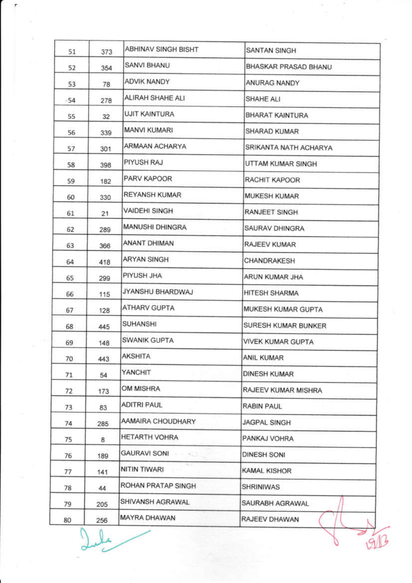| 52<br>53<br>-54<br>55<br>56<br>57<br>58<br>59<br>60<br>61<br>62<br>63<br>64<br>65<br>66<br>67<br>68<br>69<br>70 | 354<br>78<br>278<br>32<br>339<br>301<br>398<br>182<br>330<br>21<br>289<br>366<br>418<br>299<br>115<br>128 | SANVI BHANU<br><b>ADVIK NANDY</b><br>ALIRAH SHAHE ALI<br><b>UJIT KAINTURA</b><br><b>MANVI KUMARI</b><br>ARMAAN ACHARYA<br>PIYUSH RAJ<br>PARV KAPOOR<br>REYANSH KUMAR<br>VAIDEHI SINGH<br><b>MANUSHI DHINGRA</b><br>ANANT DHIMAN<br>ARYAN SINGH<br>PIYUSH JHA<br>JYANSHU BHARDWAJ | BHASKAR PRASAD BHANU<br>ANURAG NANDY<br>SHAHE ALI<br>BHARAT KAINTURA<br>SHARAD KUMAR<br>SRIKANTA NATH ACHARYA<br>UTTAM KUMAR SINGH<br>RACHIT KAPOOR<br><b>MUKESH KUMAR</b><br>RANJEET SINGH<br>SAURAV DHINGRA<br>RAJEEV KUMAR<br>CHANDRAKESH<br>ARUN KUMAR JHA<br><b>HITESH SHARMA</b> |
|-----------------------------------------------------------------------------------------------------------------|-----------------------------------------------------------------------------------------------------------|----------------------------------------------------------------------------------------------------------------------------------------------------------------------------------------------------------------------------------------------------------------------------------|----------------------------------------------------------------------------------------------------------------------------------------------------------------------------------------------------------------------------------------------------------------------------------------|
|                                                                                                                 |                                                                                                           |                                                                                                                                                                                                                                                                                  |                                                                                                                                                                                                                                                                                        |
|                                                                                                                 |                                                                                                           |                                                                                                                                                                                                                                                                                  |                                                                                                                                                                                                                                                                                        |
|                                                                                                                 |                                                                                                           |                                                                                                                                                                                                                                                                                  |                                                                                                                                                                                                                                                                                        |
|                                                                                                                 |                                                                                                           |                                                                                                                                                                                                                                                                                  |                                                                                                                                                                                                                                                                                        |
|                                                                                                                 |                                                                                                           |                                                                                                                                                                                                                                                                                  |                                                                                                                                                                                                                                                                                        |
|                                                                                                                 |                                                                                                           |                                                                                                                                                                                                                                                                                  |                                                                                                                                                                                                                                                                                        |
|                                                                                                                 |                                                                                                           |                                                                                                                                                                                                                                                                                  |                                                                                                                                                                                                                                                                                        |
|                                                                                                                 |                                                                                                           |                                                                                                                                                                                                                                                                                  |                                                                                                                                                                                                                                                                                        |
|                                                                                                                 |                                                                                                           |                                                                                                                                                                                                                                                                                  |                                                                                                                                                                                                                                                                                        |
|                                                                                                                 |                                                                                                           |                                                                                                                                                                                                                                                                                  |                                                                                                                                                                                                                                                                                        |
|                                                                                                                 |                                                                                                           |                                                                                                                                                                                                                                                                                  |                                                                                                                                                                                                                                                                                        |
|                                                                                                                 |                                                                                                           |                                                                                                                                                                                                                                                                                  |                                                                                                                                                                                                                                                                                        |
|                                                                                                                 |                                                                                                           |                                                                                                                                                                                                                                                                                  |                                                                                                                                                                                                                                                                                        |
|                                                                                                                 |                                                                                                           |                                                                                                                                                                                                                                                                                  |                                                                                                                                                                                                                                                                                        |
|                                                                                                                 |                                                                                                           |                                                                                                                                                                                                                                                                                  |                                                                                                                                                                                                                                                                                        |
|                                                                                                                 |                                                                                                           | <b>ATHARV GUPTA</b>                                                                                                                                                                                                                                                              | MUKESH KUMAR GUPTA                                                                                                                                                                                                                                                                     |
|                                                                                                                 | 445                                                                                                       | <b>SUHANSHI</b>                                                                                                                                                                                                                                                                  | SURESH KUMAR BUNKER                                                                                                                                                                                                                                                                    |
|                                                                                                                 | 148                                                                                                       | <b>SWANIK GUPTA</b>                                                                                                                                                                                                                                                              | <b>VIVEK KUMAR GUPTA</b>                                                                                                                                                                                                                                                               |
|                                                                                                                 | 443                                                                                                       | <b>AKSHITA</b>                                                                                                                                                                                                                                                                   | <b>ANIL KUMAR</b>                                                                                                                                                                                                                                                                      |
| 71                                                                                                              | 54                                                                                                        | YANCHIT                                                                                                                                                                                                                                                                          | <b>DINESH KUMAR</b>                                                                                                                                                                                                                                                                    |
| 72                                                                                                              | 173                                                                                                       | OM MISHRA                                                                                                                                                                                                                                                                        | RAJEEV KUMAR MISHRA                                                                                                                                                                                                                                                                    |
| 73                                                                                                              | 83                                                                                                        | <b>ADITRI PAUL</b>                                                                                                                                                                                                                                                               | RABIN PAUL                                                                                                                                                                                                                                                                             |
| 74                                                                                                              | 285                                                                                                       | AAMAIRA CHOUDHARY                                                                                                                                                                                                                                                                | <b>JAGPAL SINGH</b>                                                                                                                                                                                                                                                                    |
| 75                                                                                                              | 8                                                                                                         | HETARTH VOHRA                                                                                                                                                                                                                                                                    | PANKAJ VOHRA                                                                                                                                                                                                                                                                           |
| 76                                                                                                              | 189                                                                                                       | GAURAVI SONI                                                                                                                                                                                                                                                                     | <b>DINESH SONI</b>                                                                                                                                                                                                                                                                     |
| 77                                                                                                              | 141                                                                                                       | NITIN TIWARI                                                                                                                                                                                                                                                                     | <b>KAMAL KISHOR</b>                                                                                                                                                                                                                                                                    |
| 78                                                                                                              | 44                                                                                                        | ROHAN PRATAP SINGH                                                                                                                                                                                                                                                               | SHRINIWAS                                                                                                                                                                                                                                                                              |
| 79                                                                                                              | 205                                                                                                       | SHIVANSH AGRAWAL                                                                                                                                                                                                                                                                 | SAURABH AGRAWAL                                                                                                                                                                                                                                                                        |
| 80                                                                                                              | 256                                                                                                       | MAYRA DHAWAN                                                                                                                                                                                                                                                                     | RAJEEV DHAWAN                                                                                                                                                                                                                                                                          |